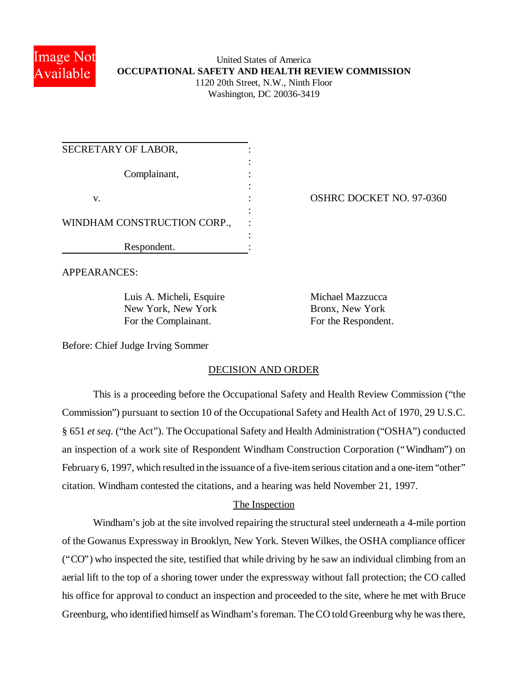

# United States of America **OCCUPATIONAL SAFETY AND HEALTH REVIEW COMMISSION** 1120 20th Street, N.W., Ninth Floor Washington, DC 20036-3419

| SECRETARY OF LABOR,         |  |
|-----------------------------|--|
|                             |  |
| Complainant,                |  |
|                             |  |
| V.                          |  |
|                             |  |
| WINDHAM CONSTRUCTION CORP., |  |
|                             |  |
| Respondent.                 |  |

OSHRC DOCKET NO. 97-0360

APPEARANCES:

Luis A. Micheli, Esquire Michael Mazzucca New York, New York Bronx, New York For the Complainant. For the Respondent.

Before: Chief Judge Irving Sommer

# DECISION AND ORDER

This is a proceeding before the Occupational Safety and Health Review Commission ("the Commission") pursuant to section 10 of the Occupational Safety and Health Act of 1970, 29 U.S.C. § 651 *et seq*. ("the Act"). The Occupational Safety and Health Administration ("OSHA") conducted an inspection of a work site of Respondent Windham Construction Corporation ("Windham") on February 6, 1997, which resulted in the issuance of a five-item serious citation and a one-item "other" citation. Windham contested the citations, and a hearing was held November 21, 1997.

# The Inspection

Windham's job at the site involved repairing the structural steel underneath a 4-mile portion of the Gowanus Expressway in Brooklyn, New York. Steven Wilkes, the OSHA compliance officer ("CO") who inspected the site, testified that while driving by he saw an individual climbing from an aerial lift to the top of a shoring tower under the expressway without fall protection; the CO called his office for approval to conduct an inspection and proceeded to the site, where he met with Bruce Greenburg, who identified himself as Windham's foreman. The CO told Greenburg why he was there,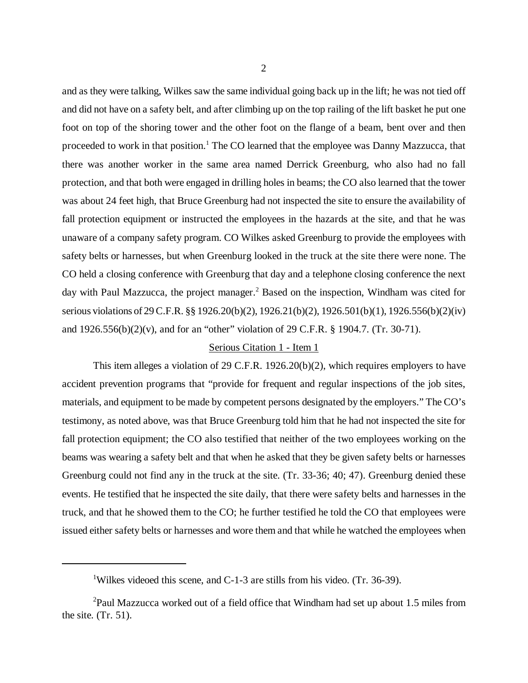and as they were talking, Wilkes saw the same individual going back up in the lift; he was not tied off and did not have on a safety belt, and after climbing up on the top railing of the lift basket he put one foot on top of the shoring tower and the other foot on the flange of a beam, bent over and then proceeded to work in that position.<sup>1</sup> The CO learned that the employee was Danny Mazzucca, that there was another worker in the same area named Derrick Greenburg, who also had no fall protection, and that both were engaged in drilling holes in beams; the CO also learned that the tower was about 24 feet high, that Bruce Greenburg had not inspected the site to ensure the availability of fall protection equipment or instructed the employees in the hazards at the site, and that he was unaware of a company safety program. CO Wilkes asked Greenburg to provide the employees with safety belts or harnesses, but when Greenburg looked in the truck at the site there were none. The CO held a closing conference with Greenburg that day and a telephone closing conference the next day with Paul Mazzucca, the project manager.<sup>2</sup> Based on the inspection, Windham was cited for serious violations of 29 C.F.R. §§ 1926.20(b)(2), 1926.21(b)(2), 1926.501(b)(1), 1926.556(b)(2)(iv) and 1926.556(b)(2)(v), and for an "other" violation of 29 C.F.R. § 1904.7. (Tr. 30-71).

### Serious Citation 1 - Item 1

This item alleges a violation of 29 C.F.R. 1926.20(b)(2), which requires employers to have accident prevention programs that "provide for frequent and regular inspections of the job sites, materials, and equipment to be made by competent persons designated by the employers." The CO's testimony, as noted above, was that Bruce Greenburg told him that he had not inspected the site for fall protection equipment; the CO also testified that neither of the two employees working on the beams was wearing a safety belt and that when he asked that they be given safety belts or harnesses Greenburg could not find any in the truck at the site. (Tr. 33-36; 40; 47). Greenburg denied these events. He testified that he inspected the site daily, that there were safety belts and harnesses in the truck, and that he showed them to the CO; he further testified he told the CO that employees were issued either safety belts or harnesses and wore them and that while he watched the employees when

<sup>&</sup>lt;sup>1</sup>Wilkes videoed this scene, and C-1-3 are stills from his video. (Tr. 36-39).

 $^{2}$ Paul Mazzucca worked out of a field office that Windham had set up about 1.5 miles from the site. (Tr. 51).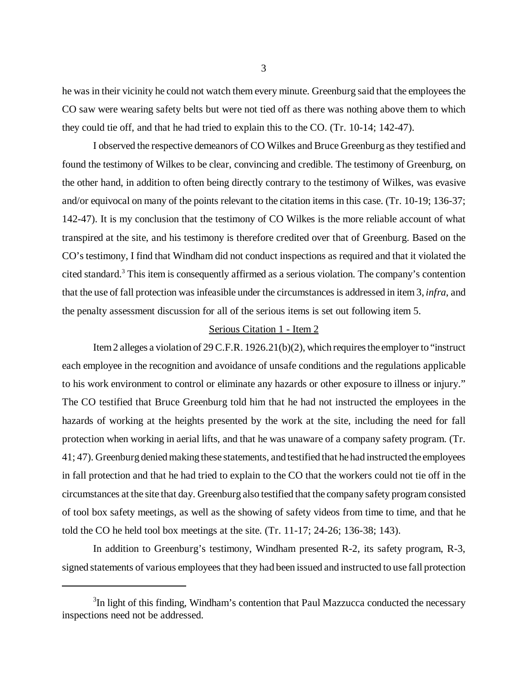he was in their vicinity he could not watch them every minute. Greenburg said that the employees the CO saw were wearing safety belts but were not tied off as there was nothing above them to which they could tie off, and that he had tried to explain this to the CO. (Tr. 10-14; 142-47).

I observed the respective demeanors of CO Wilkes and Bruce Greenburg as they testified and found the testimony of Wilkes to be clear, convincing and credible. The testimony of Greenburg, on the other hand, in addition to often being directly contrary to the testimony of Wilkes, was evasive and/or equivocal on many of the points relevant to the citation items in this case. (Tr. 10-19; 136-37; 142-47). It is my conclusion that the testimony of CO Wilkes is the more reliable account of what transpired at the site, and his testimony is therefore credited over that of Greenburg. Based on the CO's testimony, I find that Windham did not conduct inspections as required and that it violated the cited standard.<sup>3</sup> This item is consequently affirmed as a serious violation. The company's contention that the use of fall protection was infeasible under the circumstances is addressed in item 3, *infra*, and the penalty assessment discussion for all of the serious items is set out following item 5.

### Serious Citation 1 - Item 2

Item 2 alleges a violation of 29 C.F.R. 1926.21(b)(2), which requires the employer to "instruct each employee in the recognition and avoidance of unsafe conditions and the regulations applicable to his work environment to control or eliminate any hazards or other exposure to illness or injury." The CO testified that Bruce Greenburg told him that he had not instructed the employees in the hazards of working at the heights presented by the work at the site, including the need for fall protection when working in aerial lifts, and that he was unaware of a company safety program. (Tr. 41; 47). Greenburg denied making these statements, and testified that he had instructed the employees in fall protection and that he had tried to explain to the CO that the workers could not tie off in the circumstances at the site that day. Greenburg also testified that the company safety program consisted of tool box safety meetings, as well as the showing of safety videos from time to time, and that he told the CO he held tool box meetings at the site. (Tr. 11-17; 24-26; 136-38; 143).

In addition to Greenburg's testimony, Windham presented R-2, its safety program, R-3, signed statements of various employees that they had been issued and instructed to use fall protection

 $3$ In light of this finding, Windham's contention that Paul Mazzucca conducted the necessary inspections need not be addressed.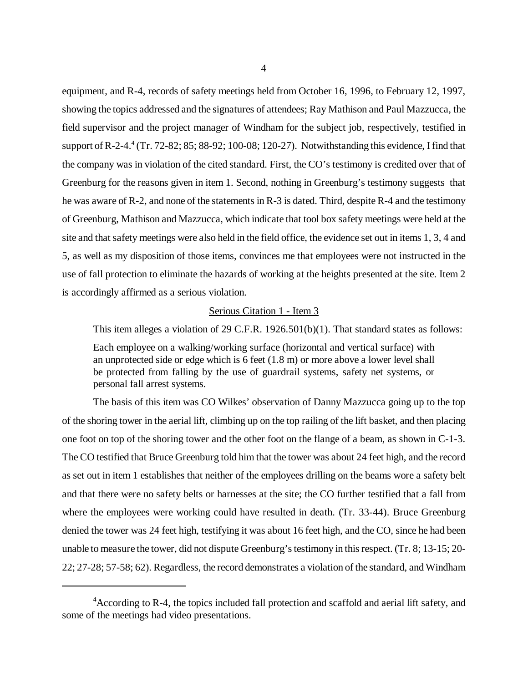equipment, and R-4, records of safety meetings held from October 16, 1996, to February 12, 1997, showing the topics addressed and the signatures of attendees; Ray Mathison and Paul Mazzucca, the field supervisor and the project manager of Windham for the subject job, respectively, testified in support of R-2-4.<sup>4</sup> (Tr. 72-82; 85; 88-92; 100-08; 120-27). Notwithstanding this evidence, I find that the company was in violation of the cited standard. First, the CO's testimony is credited over that of Greenburg for the reasons given in item 1. Second, nothing in Greenburg's testimony suggests that he was aware of R-2, and none of the statements in R-3 is dated. Third, despite R-4 and the testimony of Greenburg, Mathison and Mazzucca, which indicate that tool box safety meetings were held at the site and that safety meetings were also held in the field office, the evidence set out in items 1, 3, 4 and 5, as well as my disposition of those items, convinces me that employees were not instructed in the use of fall protection to eliminate the hazards of working at the heights presented at the site. Item 2 is accordingly affirmed as a serious violation.

#### Serious Citation 1 - Item 3

This item alleges a violation of 29 C.F.R. 1926.501(b)(1). That standard states as follows:

Each employee on a walking/working surface (horizontal and vertical surface) with an unprotected side or edge which is 6 feet (1.8 m) or more above a lower level shall be protected from falling by the use of guardrail systems, safety net systems, or personal fall arrest systems.

The basis of this item was CO Wilkes' observation of Danny Mazzucca going up to the top of the shoring tower in the aerial lift, climbing up on the top railing of the lift basket, and then placing one foot on top of the shoring tower and the other foot on the flange of a beam, as shown in C-1-3. The CO testified that Bruce Greenburg told him that the tower was about 24 feet high, and the record as set out in item 1 establishes that neither of the employees drilling on the beams wore a safety belt and that there were no safety belts or harnesses at the site; the CO further testified that a fall from where the employees were working could have resulted in death. (Tr. 33-44). Bruce Greenburg denied the tower was 24 feet high, testifying it was about 16 feet high, and the CO, since he had been unable to measure the tower, did not dispute Greenburg's testimony in this respect. (Tr. 8; 13-15; 20- 22; 27-28; 57-58; 62). Regardless, the record demonstrates a violation of the standard, and Windham

<sup>&</sup>lt;sup>4</sup> According to R-4, the topics included fall protection and scaffold and aerial lift safety, and some of the meetings had video presentations.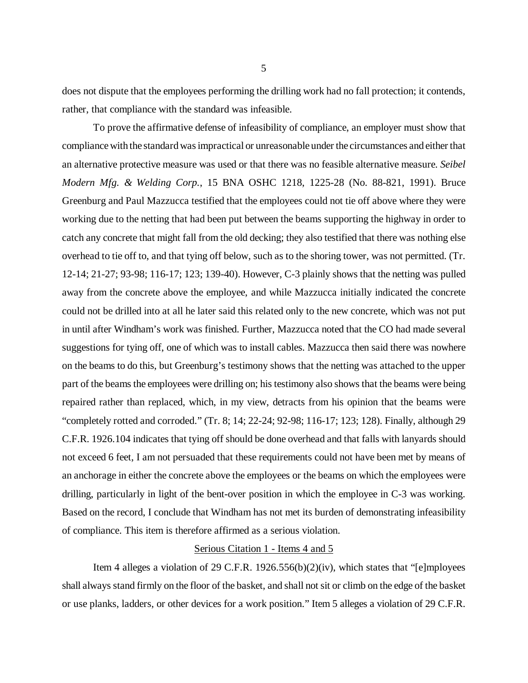does not dispute that the employees performing the drilling work had no fall protection; it contends, rather, that compliance with the standard was infeasible.

To prove the affirmative defense of infeasibility of compliance, an employer must show that compliance with the standard was impractical or unreasonable under the circumstances and either that an alternative protective measure was used or that there was no feasible alternative measure. *Seibel Modern Mfg. & Welding Corp.*, 15 BNA OSHC 1218, 1225-28 (No. 88-821, 1991). Bruce Greenburg and Paul Mazzucca testified that the employees could not tie off above where they were working due to the netting that had been put between the beams supporting the highway in order to catch any concrete that might fall from the old decking; they also testified that there was nothing else overhead to tie off to, and that tying off below, such as to the shoring tower, was not permitted. (Tr. 12-14; 21-27; 93-98; 116-17; 123; 139-40). However, C-3 plainly shows that the netting was pulled away from the concrete above the employee, and while Mazzucca initially indicated the concrete could not be drilled into at all he later said this related only to the new concrete, which was not put in until after Windham's work was finished. Further, Mazzucca noted that the CO had made several suggestions for tying off, one of which was to install cables. Mazzucca then said there was nowhere on the beams to do this, but Greenburg's testimony shows that the netting was attached to the upper part of the beams the employees were drilling on; his testimony also shows that the beams were being repaired rather than replaced, which, in my view, detracts from his opinion that the beams were "completely rotted and corroded." (Tr. 8; 14; 22-24; 92-98; 116-17; 123; 128). Finally, although 29 C.F.R. 1926.104 indicates that tying off should be done overhead and that falls with lanyards should not exceed 6 feet, I am not persuaded that these requirements could not have been met by means of an anchorage in either the concrete above the employees or the beams on which the employees were drilling, particularly in light of the bent-over position in which the employee in C-3 was working. Based on the record, I conclude that Windham has not met its burden of demonstrating infeasibility of compliance. This item is therefore affirmed as a serious violation.

#### Serious Citation 1 - Items 4 and 5

Item 4 alleges a violation of 29 C.F.R. 1926.556(b)(2)(iv), which states that "[e]mployees shall always stand firmly on the floor of the basket, and shall not sit or climb on the edge of the basket or use planks, ladders, or other devices for a work position." Item 5 alleges a violation of 29 C.F.R.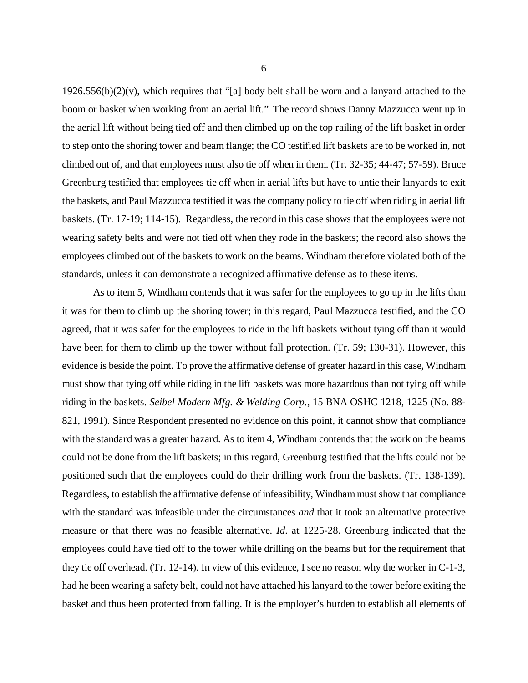$1926.556(b)(2)(v)$ , which requires that "[a] body belt shall be worn and a lanyard attached to the boom or basket when working from an aerial lift." The record shows Danny Mazzucca went up in the aerial lift without being tied off and then climbed up on the top railing of the lift basket in order to step onto the shoring tower and beam flange; the CO testified lift baskets are to be worked in, not climbed out of, and that employees must also tie off when in them. (Tr. 32-35; 44-47; 57-59). Bruce Greenburg testified that employees tie off when in aerial lifts but have to untie their lanyards to exit the baskets, and Paul Mazzucca testified it was the company policy to tie off when riding in aerial lift baskets. (Tr. 17-19; 114-15). Regardless, the record in this case shows that the employees were not wearing safety belts and were not tied off when they rode in the baskets; the record also shows the employees climbed out of the baskets to work on the beams. Windham therefore violated both of the standards, unless it can demonstrate a recognized affirmative defense as to these items.

As to item 5, Windham contends that it was safer for the employees to go up in the lifts than it was for them to climb up the shoring tower; in this regard, Paul Mazzucca testified, and the CO agreed, that it was safer for the employees to ride in the lift baskets without tying off than it would have been for them to climb up the tower without fall protection. (Tr. 59; 130-31). However, this evidence is beside the point. To prove the affirmative defense of greater hazard in this case, Windham must show that tying off while riding in the lift baskets was more hazardous than not tying off while riding in the baskets. *Seibel Modern Mfg. & Welding Corp.*, 15 BNA OSHC 1218, 1225 (No. 88- 821, 1991). Since Respondent presented no evidence on this point, it cannot show that compliance with the standard was a greater hazard. As to item 4, Windham contends that the work on the beams could not be done from the lift baskets; in this regard, Greenburg testified that the lifts could not be positioned such that the employees could do their drilling work from the baskets. (Tr. 138-139). Regardless, to establish the affirmative defense of infeasibility, Windham must show that compliance with the standard was infeasible under the circumstances *and* that it took an alternative protective measure or that there was no feasible alternative. *Id*. at 1225-28. Greenburg indicated that the employees could have tied off to the tower while drilling on the beams but for the requirement that they tie off overhead. (Tr. 12-14). In view of this evidence, I see no reason why the worker in C-1-3, had he been wearing a safety belt, could not have attached his lanyard to the tower before exiting the basket and thus been protected from falling. It is the employer's burden to establish all elements of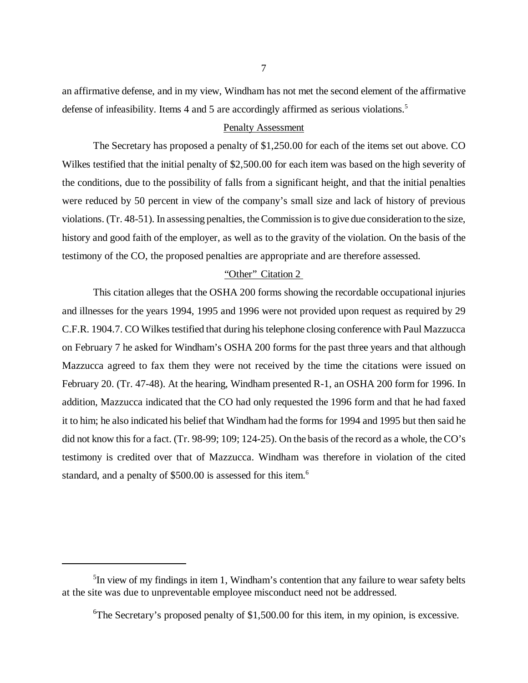an affirmative defense, and in my view, Windham has not met the second element of the affirmative defense of infeasibility. Items 4 and 5 are accordingly affirmed as serious violations.<sup>5</sup>

# Penalty Assessment

The Secretary has proposed a penalty of \$1,250.00 for each of the items set out above. CO Wilkes testified that the initial penalty of \$2,500.00 for each item was based on the high severity of the conditions, due to the possibility of falls from a significant height, and that the initial penalties were reduced by 50 percent in view of the company's small size and lack of history of previous violations. (Tr. 48-51). In assessing penalties, the Commission is to give due consideration to the size, history and good faith of the employer, as well as to the gravity of the violation. On the basis of the testimony of the CO, the proposed penalties are appropriate and are therefore assessed.

### "Other" Citation 2

This citation alleges that the OSHA 200 forms showing the recordable occupational injuries and illnesses for the years 1994, 1995 and 1996 were not provided upon request as required by 29 C.F.R. 1904.7. CO Wilkes testified that during his telephone closing conference with Paul Mazzucca on February 7 he asked for Windham's OSHA 200 forms for the past three years and that although Mazzucca agreed to fax them they were not received by the time the citations were issued on February 20. (Tr. 47-48). At the hearing, Windham presented R-1, an OSHA 200 form for 1996. In addition, Mazzucca indicated that the CO had only requested the 1996 form and that he had faxed it to him; he also indicated his belief that Windham had the forms for 1994 and 1995 but then said he did not know this for a fact. (Tr. 98-99; 109; 124-25). On the basis of the record as a whole, the CO's testimony is credited over that of Mazzucca. Windham was therefore in violation of the cited standard, and a penalty of \$500.00 is assessed for this item.<sup>6</sup>

<sup>&</sup>lt;sup>5</sup>In view of my findings in item 1, Windham's contention that any failure to wear safety belts at the site was due to unpreventable employee misconduct need not be addressed.

 ${}^{6}$ The Secretary's proposed penalty of \$1,500.00 for this item, in my opinion, is excessive.